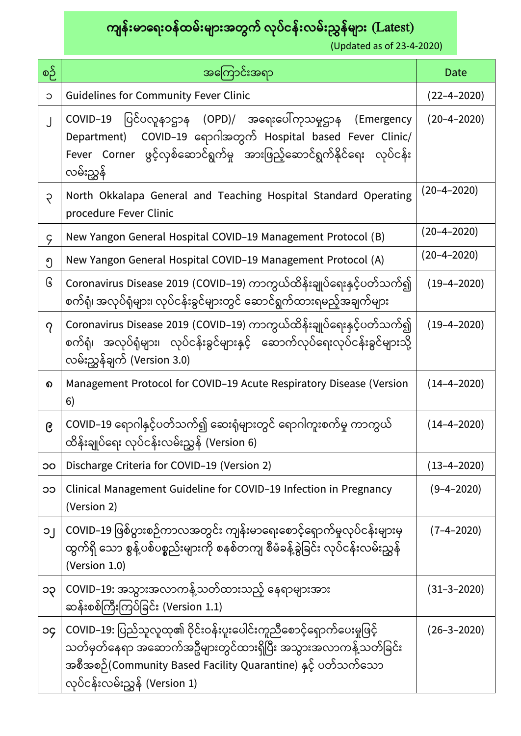ကျန်းမာရေးဝန်ထမ်းများအတွက် လုပ်ငန်းလမ်းညွှန်များ (Latest)

(Updated as of 23-4-2020)

| စဉ်         | အကြောင်းအရာ                                                                                                                                                                                                                         | Date              |
|-------------|-------------------------------------------------------------------------------------------------------------------------------------------------------------------------------------------------------------------------------------|-------------------|
| $\circ$     | <b>Guidelines for Community Fever Clinic</b>                                                                                                                                                                                        | $(22 - 4 - 2020)$ |
| $\bigcup$   | ပြင်ပလူနာဌာန (OPD)/ အရေးပေါ်ကုသမူဌာန<br>COVID-19<br>(Emergency<br>COVID-19 ရောဂါအတွက် Hospital based Fever Clinic/<br>Department)<br>Fever Corner ဖွင့်လှစ်ဆောင်ရွက်မှု အားဖြည့်ဆောင်ရွက်နိုင်ရေး လုပ်ငန်း<br>လမ်းညွှန်             | $(20 - 4 - 2020)$ |
| $\varsigma$ | North Okkalapa General and Teaching Hospital Standard Operating<br>procedure Fever Clinic                                                                                                                                           | $(20 - 4 - 2020)$ |
| $\varsigma$ | New Yangon General Hospital COVID-19 Management Protocol (B)                                                                                                                                                                        | $(20 - 4 - 2020)$ |
| ၅           | New Yangon General Hospital COVID-19 Management Protocol (A)                                                                                                                                                                        | $(20 - 4 - 2020)$ |
| િ           | Coronavirus Disease 2019 (COVID–19) ကာကွယ်ထိန်းချုပ်ရေးနှင့်ပတ်သက်၍<br>စက်ရုံ၊ အလုပ်ရုံများ၊ လုပ်ငန်းခွင်များတွင် ဆောင်ရွက်ထားရမည့်အချက်များ                                                                                        | $(19 - 4 - 2020)$ |
| $\gamma$    | Coronavirus Disease 2019 (COVID–19) ကာကွယ်ထိန်းချုပ်ရေးနှင့်ပတ်သက်၍<br>စက်ရုံ၊ အလုပ်ရုံများ၊ လုပ်ငန်းခွင်များနှင့် ဆောက်လုပ်ရေးလုပ်ငန်းခွင်များသို့<br>လမ်းညွှန်ချက် (Version 3.0)                                                  | $(19 - 4 - 2020)$ |
| ၈           | Management Protocol for COVID-19 Acute Respiratory Disease (Version<br>6)                                                                                                                                                           | $(14 - 4 - 2020)$ |
| ၉           | COVID–19 ရောဂါနှင့်ပတ်သက်၍ ဆေးရုံများတွင် ရောဂါကူးစက်မှု ကာကွယ်<br>ထိန်းချုပ်ရေး လုပ်ငန်းလမ်းညွှန် (Version 6)                                                                                                                      | $(14 - 4 - 2020)$ |
| OC          | Discharge Criteria for COVID-19 (Version 2)                                                                                                                                                                                         | $(13 - 4 - 2020)$ |
| ၁၁          | Clinical Management Guideline for COVID-19 Infection in Pregnancy<br>(Version 2)                                                                                                                                                    | $(9 - 4 - 2020)$  |
| $O_{1}$     | COVID–19 ဖြစ်ပွားစဉ်ကာလအတွင်း ကျန်းမာရေးစောင့်ရောက်မှုလုပ်ငန်းများမှ<br>ထွက်ရှိ သော စွန့်ပစ်ပစ္စည်းများကို စနစ်တကျ စီမံခန့်ခွဲခြင်း လုပ်ငန်းလမ်းညွှန်<br>(Version 1.0)                                                              | $(7 - 4 - 2020)$  |
| ၁၃          | COVID–19: အသွားအလာကန့်သတ်ထားသည့် နေရာများအား<br>ဆန်းစစ်ကြီးကြပ်ခြင်း (Version 1.1)                                                                                                                                                  | (31–3–2020)       |
| <b>PC</b>   | COVID–19: ပြည်သူလူထု၏ ဝိုင်းဝန်းပူးပေါင်းကူညီစောင့်ရောက်ပေးမှုဖြင့်<br>သတ်မှတ်နေရာ အဆောက်အဦများတွင်ထားရှိပြီး အသွားအလာကန့်သတ်ခြင်း<br>အစီအစဉ်(Community Based Facility Quarantine) နှင့် ပတ်သက်သော<br>လုပ်ငန်းလမ်းညွှန် (Version 1) | (26–3–2020)       |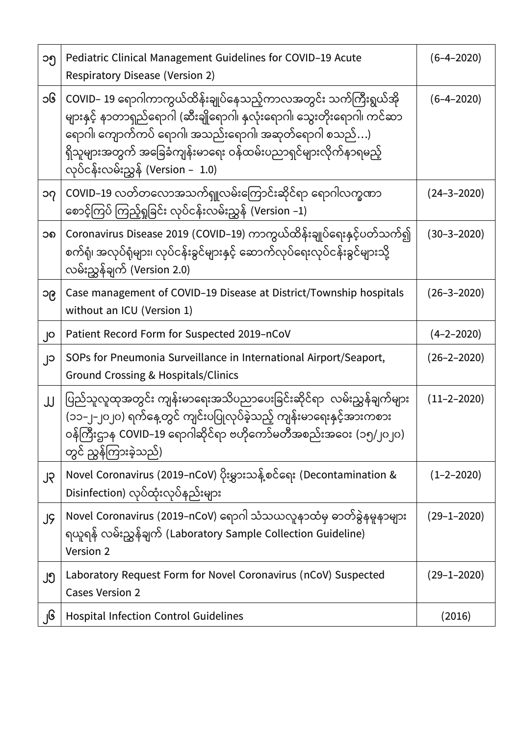| ၁၅ | Pediatric Clinical Management Guidelines for COVID-19 Acute<br><b>Respiratory Disease (Version 2)</b>                                                                                                                                                                                                    | $(6 - 4 - 2020)$  |
|----|----------------------------------------------------------------------------------------------------------------------------------------------------------------------------------------------------------------------------------------------------------------------------------------------------------|-------------------|
| ၁၆ | COVID– 19 ရောဂါကာကွယ်ထိန်းချုပ်နေသည့်ကာလအတွင်း သက်ကြီးရွယ်အို<br>များနှင့် နာတာရှည်ရောဂါ (ဆီးချိုရောဂါ၊ နှလုံးရောဂါ၊ သွေးတိုးရောဂါ၊ ကင်ဆာ<br>ရောဂါ၊ ကျောက်ကပ် ရောဂါ၊ အသည်းရောဂါ၊ အဆုတ်ရောဂါ စသည်)<br>ရှိသူများအတွက် အခြေခံကျန်းမာရေး ဝန်ထမ်းပညာရှင်များလိုက်နာရမည့်<br>လုပ်ငန်းလမ်းညွှန် (Version – 1.0) | $(6 - 4 - 2020)$  |
| ၁၇ | COVID–19 လတ်တလောအသက်ရှူလမ်းကြောင်းဆိုင်ရာ ရောဂါလက္ခဏာ<br>စောင့်ကြပ် ကြည့်ရှုခြင်း လုပ်ငန်းလမ်းညွှန် (Version –1)                                                                                                                                                                                         | $(24 - 3 - 2020)$ |
| ၁၈ | Coronavirus Disease 2019 (COVID–19) ကာကွယ်ထိန်းချုပ်ရေးနှင့်ပတ်သက်၍<br>စက်ရုံ၊ အလုပ်ရုံများ၊ လုပ်ငန်းခွင်များနှင့် ဆောက်လုပ်ရေးလုပ်ငန်းခွင်များသို့<br>လမ်းညွှန်ချက် (Version 2.0)                                                                                                                       | $(30 - 3 - 2020)$ |
| ၁၉ | Case management of COVID-19 Disease at District/Township hospitals<br>without an ICU (Version 1)                                                                                                                                                                                                         | $(26 - 3 - 2020)$ |
| ၂၀ | Patient Record Form for Suspected 2019-nCoV                                                                                                                                                                                                                                                              | $(4 - 2 - 2020)$  |
| ၂၁ | SOPs for Pneumonia Surveillance in International Airport/Seaport,<br><b>Ground Crossing &amp; Hospitals/Clinics</b>                                                                                                                                                                                      | $(26 - 2 - 2020)$ |
| JJ | ပြည်သူလူထုအတွင်း ကျန်းမာရေးအသိပညာပေးခြင်းဆိုင်ရာ လမ်းညွှန်ချက်များ<br>(၁၁–၂–၂၀၂၀) ရက်နေ့တွင် ကျင်းပပြုလုပ်ခဲ့သည့် ကျန်းမာရေးနှင့်အားကစား<br>ဝန်ကြီးဌာန COVID–19 ရောဂါဆိုင်ရာ ဗဟိုကော်မတီအစည်းအဝေး (၁၅/၂၀၂၀)<br>တွင် ညွှန်ကြားခဲ့သည်)                                                                     | $(11 - 2 - 2020)$ |
| ၂၃ | Novel Coronavirus (2019–nCoV) ပိုးမွှားသန့်စင်ရေး (Decontamination &<br>Disinfection) လုပ်ထုံးလုပ်နည်းများ                                                                                                                                                                                               | $(1 - 2 - 2020)$  |
| JĢ | Novel Coronavirus (2019–nCoV) ရောဂါ သံသယလူနာထံမှ ဓာတ်ခွဲနမူနာများ<br>ရယူရန် လမ်းညွှန်ချက် (Laboratory Sample Collection Guideline)<br><b>Version 2</b>                                                                                                                                                   | $(29 - 1 - 2020)$ |
| ၂၅ | Laboratory Request Form for Novel Coronavirus (nCoV) Suspected<br><b>Cases Version 2</b>                                                                                                                                                                                                                 | $(29 - 1 - 2020)$ |
| ၂၆ | <b>Hospital Infection Control Guidelines</b>                                                                                                                                                                                                                                                             | (2016)            |